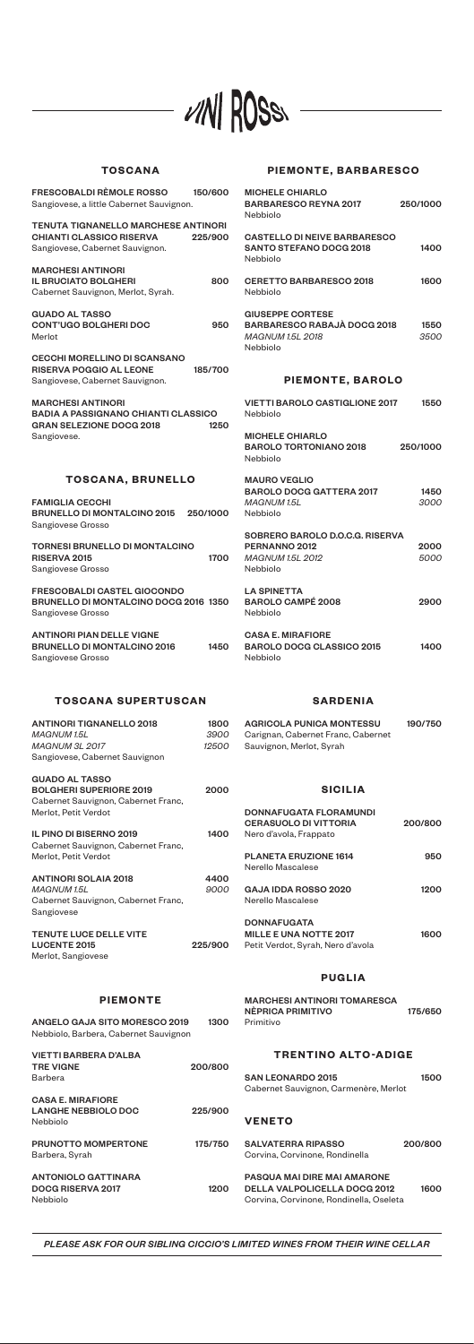# **PIEMONTE, BARBARESCO**

| <b>MICHELE CHIARLO</b><br><b>BARBARESCO REYNA 2017</b><br>Nebbiolo                                 | 250/1000     |
|----------------------------------------------------------------------------------------------------|--------------|
| <b>CASTELLO DI NEIVE BARBARESCO</b><br><b>SANTO STEFANO DOCG 2018</b><br>Nebbiolo                  | 1400         |
| CERETTO BARBARESCO 2018<br>Nebbiolo                                                                | 1600         |
| <b>GIUSEPPE CORTESE</b><br><b>BARBARESCO RABAJÀ DOCG 2018</b><br>MAGNUM 1.5L 2018<br>Nebbiolo      | 1550<br>3500 |
| <b>PIEMONTE, BAROLO</b>                                                                            |              |
| <b>VIETTI BAROLO CASTIGLIONE 2017</b><br>Nebbiolo                                                  | 1550         |
| <b>MICHELE CHIARLO</b><br><b>BAROLO TORTONIANO 2018</b><br>Nebbiolo                                | 250/1000     |
| <b>MAURO VEGLIO</b><br><b>BAROLO DOCG GATTERA 2017</b><br><b>MAGNUM1.5L</b><br>Nebbiolo            | 1450<br>3000 |
| SOBRERO BAROLO D.O.C.G. RISERVA<br>PERNANNO <sub>2012</sub><br><b>MAGNUM 1.5L 2012</b><br>Nebbiolo | 2000<br>5000 |
| <b>LA SPINETTA</b><br><b>BAROLO CAMPÉ 2008</b><br>Nebbiolo                                         | 2900         |
| <b>CASA E. MIRAFIORE</b><br><b>BAROLO DOCG CLASSICO 2015</b><br>Nebbiolo                           | 1400         |
| <b>SARDENIA</b>                                                                                    |              |
| <b>AGRICOLA PUNICA MONTESSU</b><br>Carignan, Cabernet Franc, Cabernet<br>Sauvignon, Merlot, Syrah  | 190/750      |

MARCHESI ANTINORI TOMARESCA NÈPRICA PRIMITIVO 175/650

## **SICILIA**

| <b>DONNAFUGATA FLORAMUNDI</b><br><b>CERASUOLO DI VITTORIA</b><br>Nero d'avola, Frappato  | 200/800 |
|------------------------------------------------------------------------------------------|---------|
| <b>PLANETA ERUZIONE 1614</b><br>Nerello Mascalese                                        | 950     |
| <b>GAJA IDDA ROSSO 2020</b><br>Nerello Mascalese                                         | 1200    |
| <b>DONNAFUGATA</b><br><b>MILLE E UNA NOTTE 2017</b><br>Petit Verdot, Syrah, Nero d'avola | 1600    |

# **PUGLIA**

# VIN ROSS

# **TOSCANA**

 $\overline{a}$ 

| <b>FRESCOBALDI RÈMOLE ROSSO</b><br>Sangiovese, a little Cabernet Sauvignon.                                              | 150/600      |
|--------------------------------------------------------------------------------------------------------------------------|--------------|
| <b>TENUTA TIGNANELLO MARCHESE ANTINORI</b><br><b>CHIANTI CLASSICO RISERVA</b><br>Sangiovese, Cabernet Sauvignon.         | 225/900      |
| <b>MARCHESI ANTINORI</b><br><b>IL BRUCIATO BOLGHERI</b><br>Cabernet Sauvignon, Merlot, Syrah.                            | 800          |
| <b>GUADO AL TASSO</b><br><b>CONT'UGO BOLGHERI DOC</b><br>Merlot                                                          | 950          |
| <b>CECCHI MORELLINO DI SCANSANO</b><br><b>RISERVA POGGIO AL LEONE</b><br>Sangiovese, Cabernet Sauvignon.                 | 185/700      |
| <b>MARCHESI ANTINORI</b><br><b>BADIA A PASSIGNANO CHIANTI CLASSICO</b><br><b>GRAN SELEZIONE DOCG 2018</b><br>Sangiovese. | 1250         |
| <b>TOSCANA, BRUNELLO</b>                                                                                                 |              |
| <b>FAMIGLIA CECCHI</b><br><b>BRUNELLO DI MONTALCINO 2015</b><br>Sangiovese Grosso                                        | 250/1000     |
| <b>TORNESI BRUNELLO DI MONTALCINO</b><br>RISERVA 2015<br>Sangiovese Grosso                                               | 1700         |
| <b>FRESCOBALDI CASTEL GIOCONDO</b><br>BRUNELLO DI MONTALCINO DOCG 2016 1350<br>Sangiovese Grosso                         |              |
| <b>ANTINORI PIAN DELLE VIGNE</b><br><b>BRUNELLO DI MONTALCINO 2016</b><br>Sangiovese Grosso                              | 1450         |
| TOSCANA SUPERTUSCAN                                                                                                      |              |
|                                                                                                                          |              |
| <b>ANTINORI TIGNANELLO 2018</b><br><b>MAGNUM1.5L</b>                                                                     | 1800<br>3900 |
| <b>MAGNUM 3L 2017</b>                                                                                                    | 12500        |
| Sangiovese, Cabernet Sauvignon                                                                                           |              |
| <b>GUADO AL TASSO</b><br><b>BOLGHERI SUPERIORE 2019</b><br>Cabernet Sauvignon, Cabernet Franc,<br>Merlot, Petit Verdot   | 2000         |
| <b>IL PINO DI BISERNO 2019</b><br>Cabernet Sauvignon, Cabernet Franc,<br>Merlot, Petit Verdot                            | 1400         |
| <b>ANTINORI SOLAIA 2018</b>                                                                                              | 4400         |
| <b>MAGNUM 1.5L</b>                                                                                                       | 9000         |
| Cabernet Sauvignon, Cabernet Franc,<br>Sangiovese                                                                        |              |
|                                                                                                                          |              |
| <b>TENUTE LUCE DELLE VITE</b><br><b>LUCENTE 2015</b>                                                                     | 225/900      |
|                                                                                                                          |              |
| Merlot, Sangiovese                                                                                                       |              |

| ANGELO GAJA SITO MORESCO 2019<br>Nebbiolo, Barbera, Cabernet Sauvignon | 1300    | Primitivo                                                                                                     |         |
|------------------------------------------------------------------------|---------|---------------------------------------------------------------------------------------------------------------|---------|
| <b>VIETTI BARBERA D'ALBA</b><br><b>TRE VIGNE</b>                       | 200/800 | <b>TRENTINO ALTO-ADIGE</b>                                                                                    |         |
| Barbera                                                                |         | <b>SAN LEONARDO 2015</b><br>Cabernet Sauvignon, Carmenère, Merlot                                             | 1500    |
| <b>CASA E. MIRAFIORE</b><br><b>LANGHE NEBBIOLO DOC</b><br>Nebbiolo     | 225/900 | <b>VENETO</b>                                                                                                 |         |
| <b>PRUNOTTO MOMPERTONE</b><br>Barbera, Syrah                           | 175/750 | <b>SALVATERRA RIPASSO</b><br>Corvina, Corvinone, Rondinella                                                   | 200/800 |
| <b>ANTONIOLO GATTINARA</b><br><b>DOCG RISERVA 2017</b><br>Nebbiolo     | 1200    | PASQUA MAI DIRE MAI AMARONE<br><b>DELLA VALPOLICELLA DOCG 2012</b><br>Corvina, Corvinone, Rondinella, Oseleta | 1600    |

#### **PIEMONTE**

#### *PLEASE ASK FOR OUR SIBLING CICCIO'S LIMITED WINES FROM THEIR WINE CELLAR*